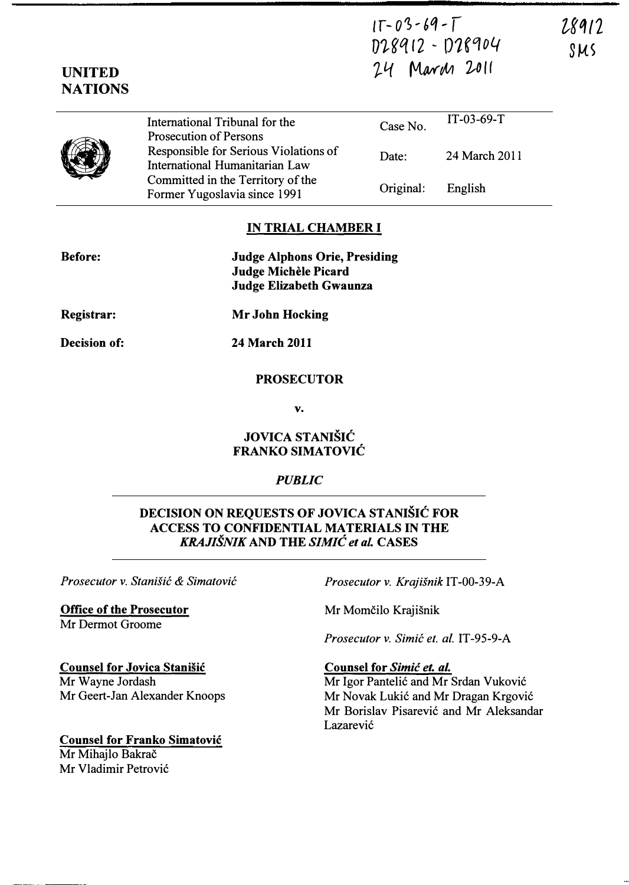$IT - 03 - 69 - T$ D��q (2 - 1)1,0[04 24 March 2011

28912 SUS

| <b>NATIONS</b> |                                                                         |           |               |
|----------------|-------------------------------------------------------------------------|-----------|---------------|
|                | International Tribunal for the<br><b>Prosecution of Persons</b>         | Case No.  | $IT-03-69-T$  |
|                | Responsible for Serious Violations of<br>International Humanitarian Law | Date:     | 24 March 2011 |
|                | Committed in the Territory of the<br>Former Yugoslavia since 1991       | Original: | English       |

### IN TRIAL CHAMBER I

| <b>Before:</b>      | <b>Judge Alphons Orie, Presiding</b><br>Judge Michèle Picard<br>Judge Elizabeth Gwaunza |  |
|---------------------|-----------------------------------------------------------------------------------------|--|
| Registrar:          | <b>Mr John Hocking</b>                                                                  |  |
| <b>Decision of:</b> | <b>24 March 2011</b>                                                                    |  |
|                     | <b>PROSECUTOR</b>                                                                       |  |

v.

# JOVICA STANISIC FRANKO SIMATOVIC

## PUBLIC

## DECISION ON REQUESTS OF JOVICA STANIŠIĆ FOR ACCESS TO CONFIDENTIAL MATERIALS IN THE KRAJISNIK AND THE SIMIC et aL CASES

Office of the Prosecutor Mr Dermot Groome

UNITED

Prosecutor v. Stanišić & Simatović Prosecutor v. Krajišnik IT-00-39-A

Mr Momčilo Krajišnik

Prosecutor v. Simić et. al. IT-95-9-A

## Counsel for Simic et. al.

Mr Igor Pantelic and Mr Srdan Vukovic Mr Novak Lukić and Mr Dragan Krgović Mr Borislav Pisarevic and Mr Aleksandar Lazarević

Counsel for Jovica Stanisic Mr Wayne Jordash Mr Geert-Jan Alexander Knoops

Counsel for Franko Simatovic Mr Mihajlo Bakrač Mr Vladimir Petrovic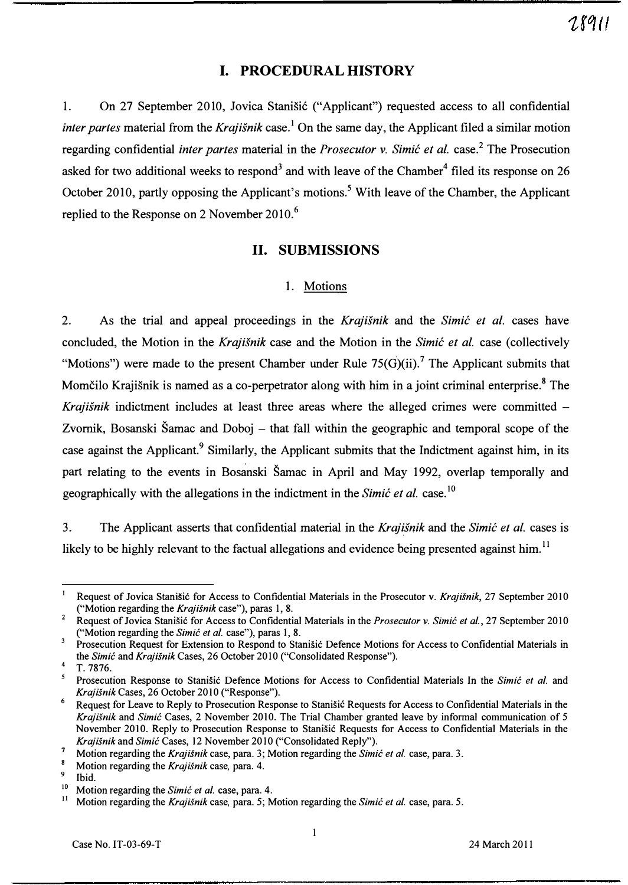## I. PROCEDURAL HISTORY

1. On 27 September 2010, Jovica Stanisic ("Applicant") requested access to all confidential *inter partes* material from the *Krajišnik* case.<sup>1</sup> On the same day, the Applicant filed a similar motion regarding confidential *inter partes* material in the *Prosecutor v. Simić et al.* case.<sup>2</sup> The Prosecution asked for two additional weeks to respond<sup>3</sup> and with leave of the Chamber<sup>4</sup> filed its response on 26 October 2010, partly opposing the Applicant's motions.<sup>5</sup> With leave of the Chamber, the Applicant replied to the Response on 2 November 2010.<sup>6</sup>

## 11. SUBMISSIONS

#### 1. Motions

2. As the trial and appeal proceedings in the Krajisnik and the Simic et al. cases have concluded, the Motion in the Krajišnik case and the Motion in the Simic et al. case (collectively "Motions") were made to the present Chamber under Rule  $75(G)(ii)$ . The Applicant submits that Momčilo Krajišnik is named as a co-perpetrator along with him in a joint criminal enterprise.<sup>8</sup> The Krajišnik indictment includes at least three areas where the alleged crimes were committed  $-$ Zvornik, Bosanski Šamac and Doboj – that fall within the geographic and temporal scope of the case against the Applicant.<sup>9</sup> Similarly, the Applicant submits that the Indictment against him, in its part relating to the events in Bosanski Šamac in April and May 1992, overlap temporally and geographically with the allegations in the indictment in the Simic et al. case.<sup>10</sup>

3. The Applicant asserts that confidential material in the Krajišnik and the Simic et al. cases is likely to be highly relevant to the factual allegations and evidence being presented against him.<sup>11</sup>

28911

<sup>&</sup>lt;sup>1</sup> Request of Jovica Stanišić for Access to Confidential Materials in the Prosecutor v. Krajišnik, 27 September 2010 ("Motion regarding the Krajisnik case"), paras 1, 8.

<sup>&</sup>lt;sup>2</sup> Request of Jovica Stanišić for Access to Confidential Materials in the *Prosecutor v. Simić et al.*, 27 September 2010 ("Motion regarding the Simic et al. case"), paras 1, 8.

Prosecution Request for Extension to Respond to Stanišić Defence Motions for Access to Confidential Materials in the Simic and Krajišnik Cases, 26 October 2010 ("Consolidated Response").

 $4$  T. 7876.

<sup>&</sup>lt;sup>5</sup> Prosecution Response to Stanišić Defence Motions for Access to Confidential Materials In the Simic et al. and Krajisnik Cases, 26 October 2010 ("Response").

Request for Leave to Reply to Prosecution Response to Stanišić Requests for Access to Confidential Materials in the Krajisnik and Simic Cases, 2 November 2010. The Trial Chamber granted leave by informal communication of 5 November 2010. Reply to Prosecution Response to Stanisic Requests for Access to Confidential Materials in the Krajišnik and Simić Cases, 12 November 2010 ("Consolidated Reply").

<sup>&</sup>lt;sup>7</sup> Motion regarding the *Krajišnik* case, para. 3; Motion regarding the *Simic et al.* case, para. 3.

<sup>&</sup>lt;sup>8</sup> Motion regarding the *Krajišnik* case, para. 4.

 $\frac{9}{10}$  Ibid.

<sup>&</sup>lt;sup>10</sup> Motion regarding the *Simic et al.* case, para. 4.<br><sup>11</sup> Motion regarding the *Krajišnik* case, para. 5: M

Motion regarding the Krajišnik case, para. 5; Motion regarding the Simic et al. case, para. 5.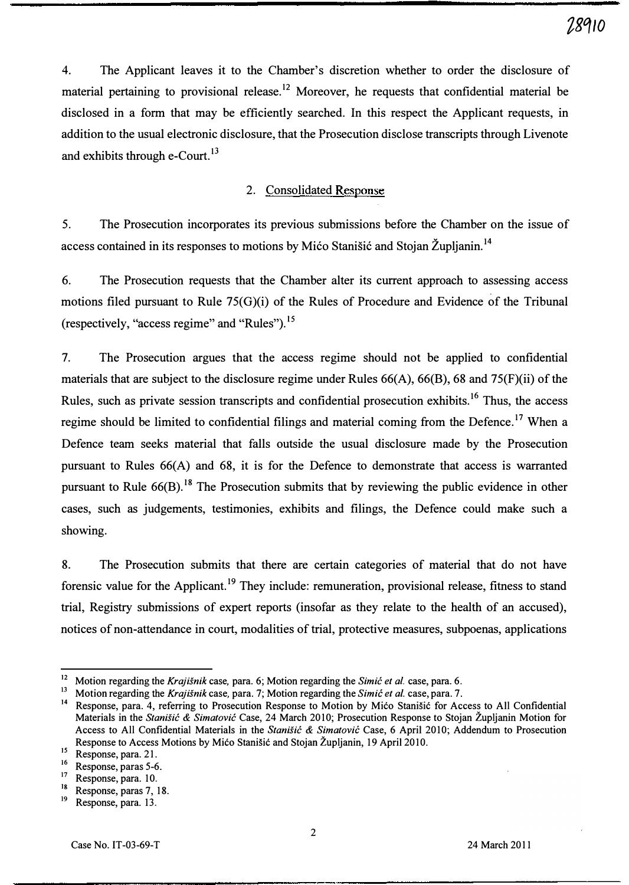4. The Applicant leaves it to the Chamber's discretion whether to order the disclosure of material pertaining to provisional release.<sup>12</sup> Moreover, he requests that confidential material be disclosed in a form that may be efficiently searched. In this respect the Applicant requests, in addition to the usual electronic disclosure, that the Prosecution disclose transcripts through Livenote and exhibits through e-Court.<sup>13</sup>

#### 2. Consolidated Response

5. The Prosecution incorporates its previous submissions before the Chamber on the issue of access contained in its responses to motions by Mićo Stanišić and Stojan Župljanin.<sup>14</sup>

6. The Prosecution requests that the Chamber alter its current approach to assessing access motions filed pursuant to Rule 75(G)(i) of the Rules of Procedure and Evidence of the Tribunal (respectively, "access regime" and "Rules"). 15

7. The Prosecution argues that the access regime should not be applied to confidential materials that are subject to the disclosure regime under Rules 66(A), 66(B), 68 and 75(F)(ii) of the Rules, such as private session transcripts and confidential prosecution exhibits.<sup>16</sup> Thus, the access regime should be limited to confidential filings and material coming from the Defence.<sup>17</sup> When a Defence team seeks material that falls outside the usual disclosure made by the Prosecution pursuant to Rules 66(A) and 68, it is for the Defence to demonstrate that access is warranted pursuant to Rule  $66(B)$ .<sup>18</sup> The Prosecution submits that by reviewing the public evidence in other cases, such as judgements, testimonies, exhibits and filings, the Defence could make such a showing.

8. The Prosecution submits that there are certain categories of material that do not have forensic value for the Applicant.<sup>19</sup> They include: remuneration, provisional release, fitness to stand trial, Registry submissions of expert reports (insofar as they relate to the health of an accused), notices of non-attendance in court, modalities of trial, protective measures, subpoenas, applications

<sup>&</sup>lt;sup>12</sup> Motion regarding the *Krajišnik* case, para. 6; Motion regarding the *Simić et al.* case, para. 6.

<sup>&</sup>lt;sup>13</sup> Motion regarding the Krajišnik case, para. 7; Motion regarding the Simi $\acute{\epsilon}$  et al. case, para. 7.

<sup>&</sup>lt;sup>14</sup> Response, para. 4, referring to Prosecution Response to Motion by Mićo Stanišić for Access to All Confidential Materials in the Stanišić & Simatović Case, 24 March 2010; Prosecution Response to Stojan Župljanin Motion for Access to All Confidential Materials in the Stanišić & Simatović Case, 6 April 2010; Addendum to Prosecution Response to Access Motions by Mico Stanisic and Stojan Zupljanin, 19 April 2010.

 $15$  Response, para. 21.

Response, paras 5-6. 1

Response, para. 10. 1

 $\frac{18}{19}$  Response, paras 7, 18.

Response, para. 13.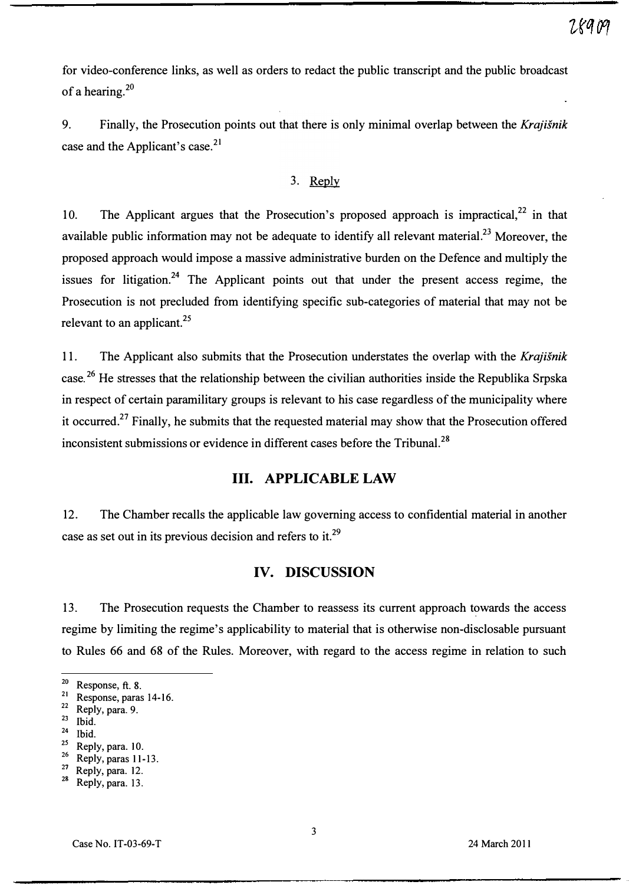for video-conference links, as well as orders to redact the public transcript and the public broadcast of a hearing.2o

9. Finally, the Prosecution points out that there is only minimal overlap between the Krajišnik case and the Applicant's case.<sup>21</sup>

#### 3. Reply

10. The Applicant argues that the Prosecution's proposed approach is impractical, $22$  in that available public information may not be adequate to identify all relevant material.<sup>23</sup> Moreover, the proposed approach would impose a massive administrative burden on the Defence and multiply the issues for litigation.<sup>24</sup> The Applicant points out that under the present access regime, the Prosecution is not precluded from identifying specific sub-categories of material that may not be relevant to an applicant. $^{25}$ 

11. The Applicant also submits that the Prosecution understates the overlap with the Krajišnik case.26 He stresses that the relationship between the civilian authorities inside the Republika Srpska in respect of certain paramilitary groups is relevant to his case regardless of the municipality where it occurred.<sup>27</sup> Finally, he submits that the requested material may show that the Prosecution offered inconsistent submissions or evidence in different cases before the Tribunal.<sup>28</sup>

# Ill. APPLICABLE LAW

12. The Chamber recalls the applicable law governing access to confidential material in another case as set out in its previous decision and refers to it.<sup>29</sup>

## IV. DISCUSSION

13. The Prosecution requests the Chamber to reassess its current approach towards the access regime by limiting the regime's applicability to material that is otherwise non-disclosable pursuant to Rules 66 and 68 of the Rules. Moreover, with regard to the access regime in relation to such

- $^{24}$  Ibid.
- $^{25}$  Reply, para. 10.
- $^{26}$  Reply, paras 11-13.
- Reply, para. 12.

 $^{20}$  Response, ft. 8.

 $\frac{21}{22}$  Response, paras 14-16.

Reply, para. 9.

 $\frac{23}{24}$  Ibid.

<sup>2</sup> Reply, para. 13.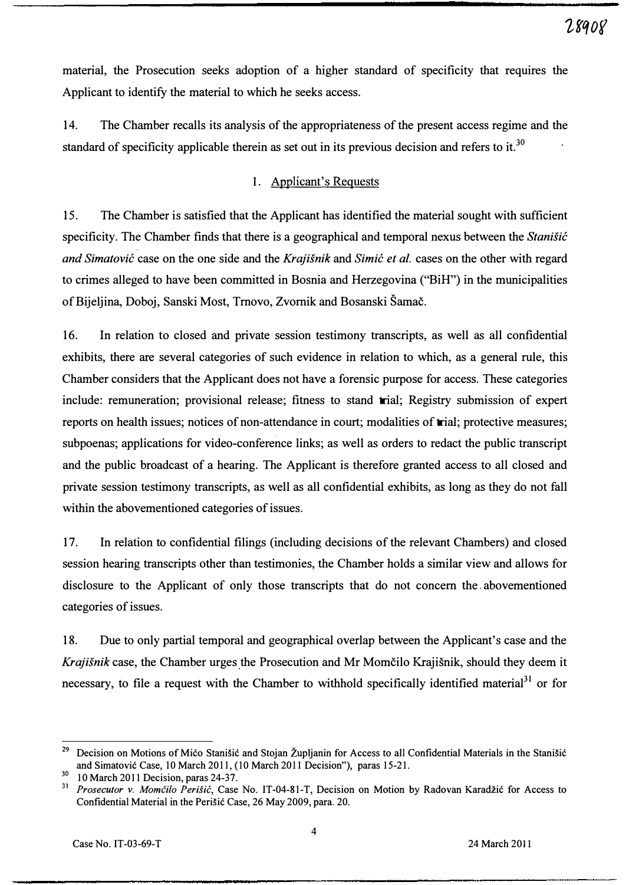material, the Prosecution seeks adoption of a higher standard of specificity that requires the Applicant to identify the material to which he seeks access.

1 4. The Chamber recalls its analysis of the appropriateness of the present access regime and the standard of specificity applicable therein as set out in its previous decision and refers to it.<sup>30</sup>

### 1. Applicant's Requests

15. The Chamber is satisfied that the Applicant has identified the material sought with sufficient specificity. The Chamber finds that there is a geographical and temporal nexus between the Stanisic and Simatović case on the one side and the Krajišnik and Simić et al. cases on the other with regard to crimes alleged to have been committed in Bosnia and Herzegovina ("BiH") in the municipalities of Bijeljina, Doboj, Sanski Most, Trnovo, Zvornik and Bosanski Samac.

1 6. In relation to closed and private session testimony transcripts, as well as all confidential exhibits, there are several categories of such evidence in relation to which, as a general rule, this Chamber considers that the Applicant does not have a forensic purpose for access. These categories include: remuneration; provisional release; fitness to stand trial; Registry submission of expert reports on health issues; notices of non-attendance in court; modalities of trial; protective measures; subpoenas; applications for video-conference links; as well as orders to redact the public transcript and the public broadcast of a hearing. The Applicant is therefore granted access to all closed and private session testimony transcripts, as well as all confidential exhibits, as long as they do not fall within the abovementioned categories of issues.

17. In relation to confidential filings (including decisions of the relevant Chambers) and closed session hearing transcripts other than testimonies, the Chamber holds a similar view and allows for disclosure to the Applicant of only those transcripts that do not concern the abovementioned categories of issues.

1 8. Due to only partial temporal and geographical overlap between the Applicant's case and the Krajišnik case, the Chamber urges the Prosecution and Mr Momčilo Krajišnik, should they deem it necessary, to file a request with the Chamber to withhold specifically identified material<sup>31</sup> or for

<sup>29</sup>Decision on Motions of Mico Stanisic and Stojan Zupljanin for Access to all Confidential Materials in the Stanisic and Simatovic Case, 10 March 2011, (10 March 2011 Decision"), paras 15-21.

 $30$  10 March 2011 Decision, paras 24-37.<br> $31$  Prosecutor y. Momčilo Perišić, Case

Prosecutor v. Momčilo Perišić, Case No. IT-04-81-T, Decision on Motion by Radovan Karadžić for Access to Confidential Material in the Perisic Case, 26 May 2009, para. 20.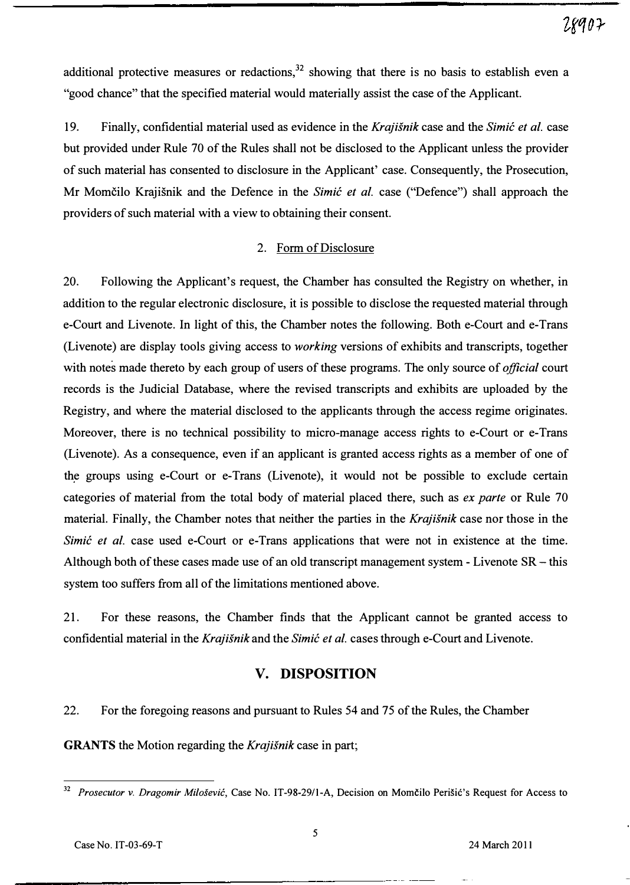additional protective measures or redactions,  $32$  showing that there is no basis to establish even a "good chance" that the specified material would materially assist the case of the Applicant.

19. Finally, confidential material used as evidence in the Krajišnik case and the Simic et al. case but provided under Rule 70 of the Rules shall not be disclosed to the Applicant unless the provider of such material has consented to disclosure in the Applicant' case. Consequently, the Prosecution, Mr Momčilo Krajišnik and the Defence in the Simic et al. case ("Defence") shall approach the providers of such material with a view to obtaining their consent.

#### 2. Form of Disclosure

20. Following the Applicant's request, the Chamber has consulted the Registry on whether, in addition to the regular electronic disclosure, it is possible to disclose the requested material through e-Court and Livenote. In light of this, the Chamber notes the following. Both e-Court and e-Trans (Livenote) are display tools giving access to working versions of exhibits and transcripts, together with notes made thereto by each group of users of these programs. The only source of *official* court records is the Judicial Database, where the revised transcripts and exhibits are uploaded by the Registry, and where the material disclosed to the applicants through the access regime originates. Moreover, there is no technical possibility to micro-manage access rights to e-Court or e-Trans (Livenote). As a consequence, even if an applicant is granted access rights as a member of one of the groups using e-Court or e-Trans (Livenote), it would not be possible to exclude certain categories of material from the total body of material placed there, such as ex parte or Rule 70 material. Finally, the Chamber notes that neither the parties in the Krajišnik case nor those in the Simic et al. case used e-Court or e-Trans applications that were not in existence at the time. Although both of these cases made use of an old transcript management system  $\overline{P}$  - Livenote SR  $\overline{P}$  - this system too suffers from all of the limitations mentioned above.

21. For these reasons, the Chamber finds that the Applicant cannot be granted access to confidential material in the Krajišnik and the Simic et al. cases through e-Court and Livenote.

## v. DISPOSITION

22. For the foregoing reasons and pursuant to Rules 54 and 75 of the Rules, the Chamber

GRANTS the Motion regarding the Krajišnik case in part;

<sup>&</sup>lt;sup>32</sup> Prosecutor v. Dragomir Milošević, Case No. IT-98-29/1-A, Decision on Momčilo Perišić's Request for Access to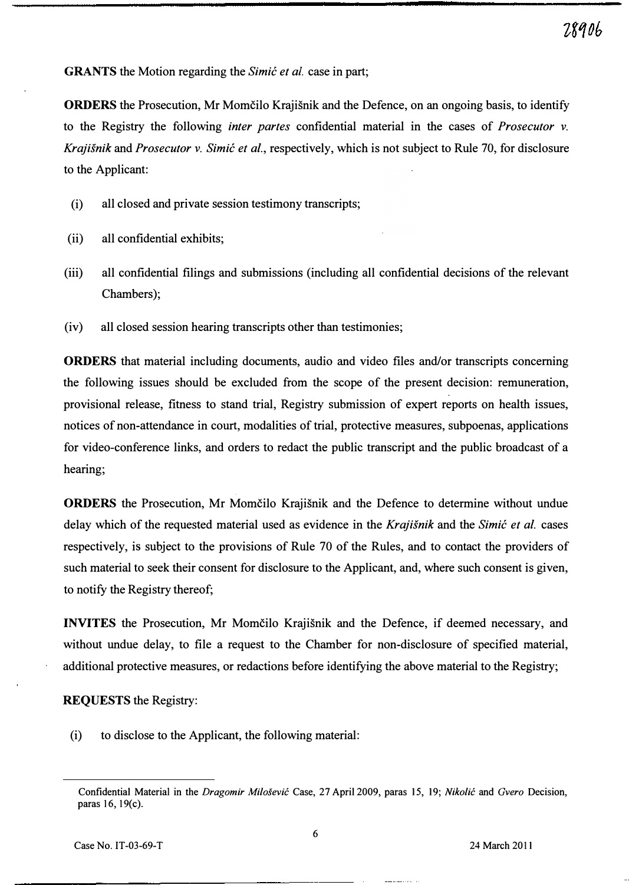**GRANTS** the Motion regarding the *Simić et al.* case in part;

**ORDERS** the Prosecution, Mr Momčilo Krajišnik and the Defence, on an ongoing basis, to identify to the Registry the following inter partes confidential material in the cases of Prosecutor v. Krajišnik and Prosecutor v. Simić et al., respectively, which is not subject to Rule 70, for disclosure to the Applicant:

- (i) all closed and private session testimony transcripts;
- (ii) all confidential exhibits;
- (iii) all confidential filings and submissions (including all confidential decisions of the relevant Chambers);
- (iv) all closed session hearing transcripts other than testimonies;

ORDERS that material including documents, audio and video files and/or transcripts concerning the following issues should be excluded from the scope of the present decision: remuneration, provisional release, fitness to stand trial, Registry submission of expert reports on health issues, notices of non-attendance in court, modalities of trial, protective measures, subpoenas, applications for video-conference links, and orders to redact the public transcript and the public broadcast of a hearing;

**ORDERS** the Prosecution, Mr Momčilo Krajišnik and the Defence to determine without undue delay which of the requested material used as evidence in the Krajisnik and the Simic et al. cases respectively, is subject to the provisions of Rule 70 of the Rules, and to contact the providers of such material to seek their consent for disclosure to the Applicant, and, where such consent is given, to notify the Registry thereof;

INVITES the Prosecution, Mr Momčilo Krajišnik and the Defence, if deemed necessary, and without undue delay, to file a request to the Chamber for non-disclosure of specified material, additional protective measures, or redactions before identifying the above material to the Registry;

REQUESTS the Registry:

(i) to disclose to the Applicant, the following material:

Confidential Material in the Dragomir Milosevic Case, 27 April 2009, paras 15, 19; Nikolic and Gvero Decision, paras 16, 19(c).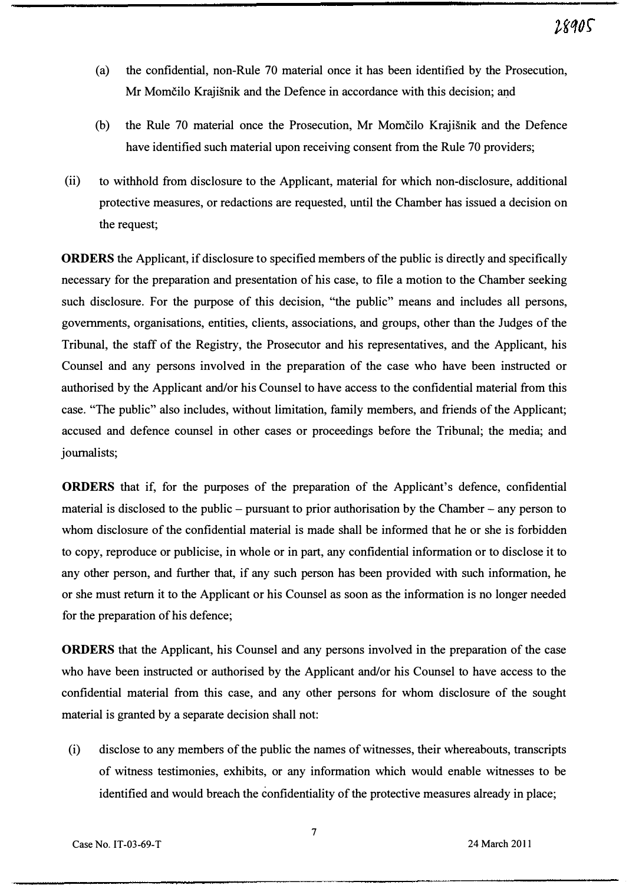- (a) the confidential, non-Rule 70 material once it has been identified by the Prosecution, Mr Momčilo Krajišnik and the Defence in accordance with this decision; and
- (b) the Rule 70 material once the Prosecution, Mr Momcilo Krajisnik and the Defence have identified such material upon receiving consent from the Rule 70 providers;
- (ii) to withhold from disclosure to the Applicant, material for which non-disclosure, additional protective measures, or redactions are requested, until the Chamber has issued a decision on the request;

ORDERS the Applicant, if disclosure to specified members of the public is directly and specifically necessary for the preparation and presentation of his case, to file a motion to the Chamber seeking such disclosure. For the purpose of this decision, "the public" means and includes all persons, governments, organisations, entities, clients, associations, and groups, other than the Judges of the Tribunal, the staff of the Registry, the Prosecutor and his representatives, and the Applicant, his Counsel and any persons involved in the preparation of the case who have been instructed or authorised by the Applicant and/or his Counsel to have access to the confidential material from this case. "The public" also includes, without limitation, family members, and friends of the Applicant; accused and defence counsel in other cases or proceedings before the Tribunal; the media; and journalists;

ORDERS that if, for the purposes of the preparation of the Applicant's defence, confidential material is disclosed to the public – pursuant to prior authorisation by the Chamber – any person to whom disclosure of the confidential material is made shall be informed that he or she is forbidden to copy, reproduce or publicise, in whole or in part, any confidential information or to disclose it to any other person, and further that, if any such person has been provided with such information, he or she must return it to the Applicant or his Counsel as soon as the information is no longer needed for the preparation of his defence;

ORDERS that the Applicant, his Counsel and any persons involved in the preparation of the case who have been instructed or authorised by the Applicant and/or his Counsel to have access to the confidential material from this case, and any other persons for whom disclosure of the sought material is granted by a separate decision shall not:

(i) disclose to any members of the public the names of witnesses, their whereabouts, transcripts of witness testimonies, exhibits, or any information which would enable witnesses to be identified and would breach the confidentiality of the protective measures already in place;

7